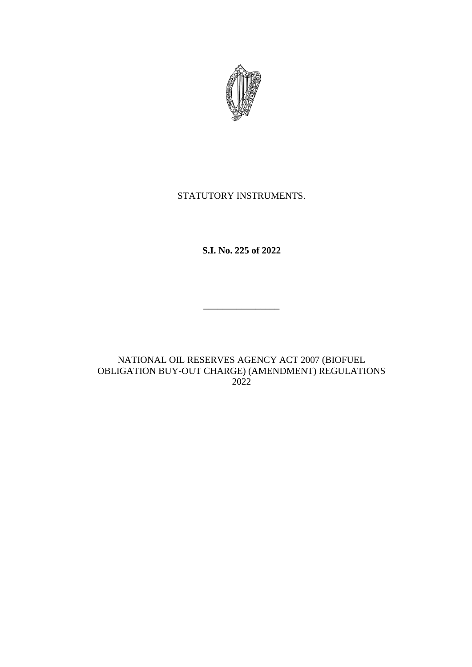

## STATUTORY INSTRUMENTS.

**S.I. No. 225 of 2022**

\_\_\_\_\_\_\_\_\_\_\_\_\_\_\_\_

NATIONAL OIL RESERVES AGENCY ACT 2007 (BIOFUEL OBLIGATION BUY-OUT CHARGE) (AMENDMENT) REGULATIONS 2022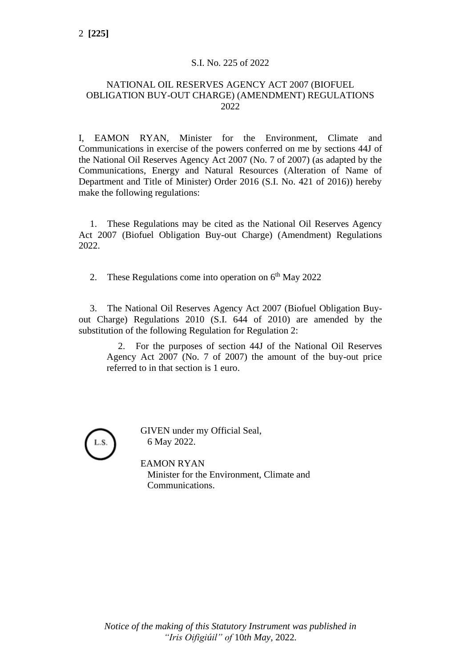## S.I. No. 225 of 2022

## NATIONAL OIL RESERVES AGENCY ACT 2007 (BIOFUEL OBLIGATION BUY-OUT CHARGE) (AMENDMENT) REGULATIONS 2022

I, EAMON RYAN, Minister for the Environment, Climate and Communications in exercise of the powers conferred on me by sections 44J of the National Oil Reserves Agency Act 2007 (No. 7 of 2007) (as adapted by the Communications, Energy and Natural Resources (Alteration of Name of Department and Title of Minister) Order 2016 (S.I. No. 421 of 2016)) hereby make the following regulations:

1. These Regulations may be cited as the National Oil Reserves Agency Act 2007 (Biofuel Obligation Buy-out Charge) (Amendment) Regulations 2022.

2. These Regulations come into operation on 6<sup>th</sup> May 2022

3. The National Oil Reserves Agency Act 2007 (Biofuel Obligation Buyout Charge) Regulations 2010 (S.I. 644 of 2010) are amended by the substitution of the following Regulation for Regulation 2:

2. For the purposes of section 44J of the [National Oil Reserves](https://www.irishstatutebook.ie/2007/en/act/pub/0007/index.html)  [Agency Act 2007](https://www.irishstatutebook.ie/2007/en/act/pub/0007/index.html) (No. 7 of 2007) the amount of the buy-out price referred to in that section is 1 euro.

GIVEN under my Official Seal, 6 May 2022.

EAMON RYAN Minister for the Environment, Climate and Communications.